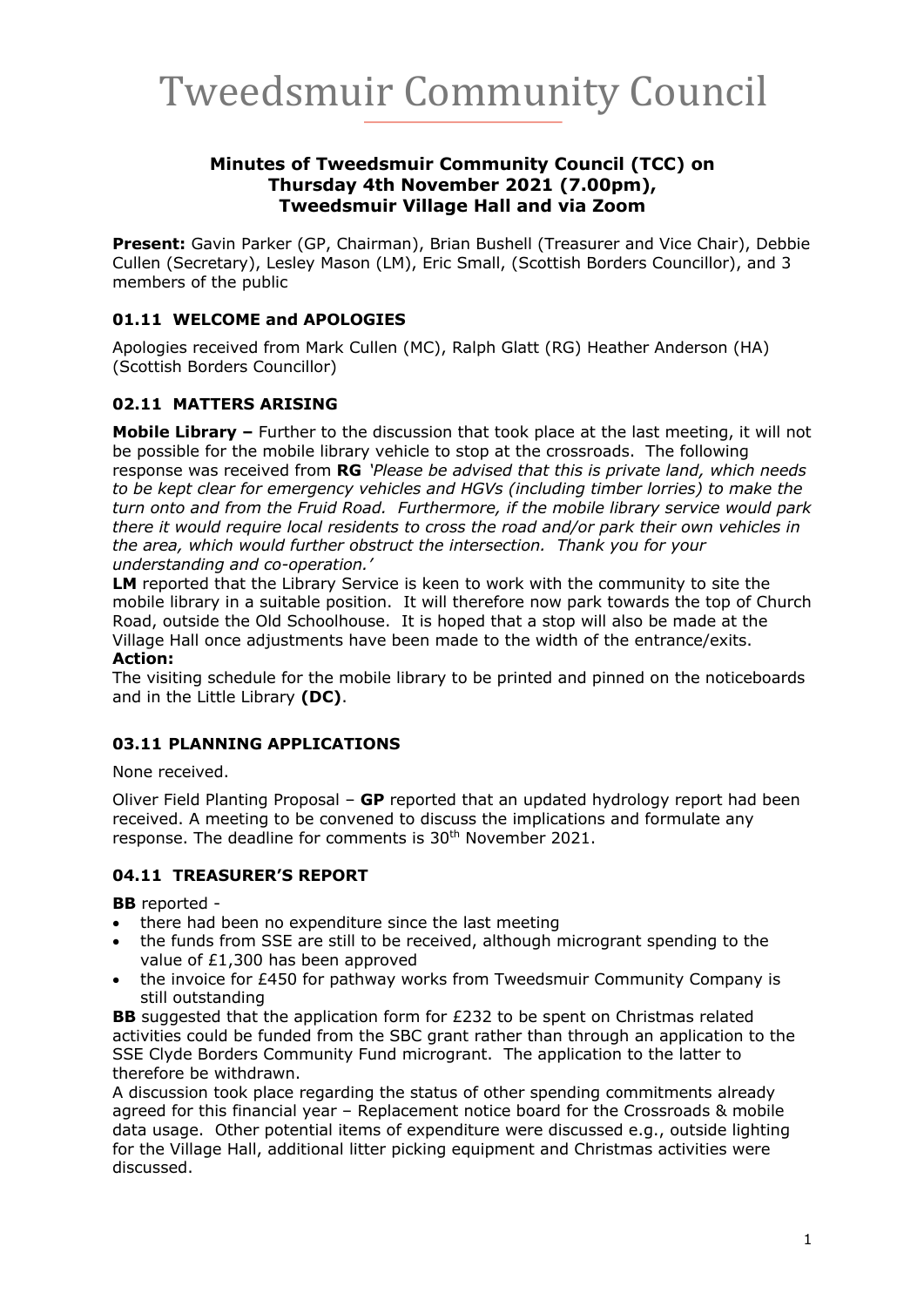#### **Minutes of Tweedsmuir Community Council (TCC) on Thursday 4th November 2021 (7.00pm), Tweedsmuir Village Hall and via Zoom**

**Present:** Gavin Parker (GP, Chairman), Brian Bushell (Treasurer and Vice Chair), Debbie Cullen (Secretary), Lesley Mason (LM), Eric Small, (Scottish Borders Councillor), and 3 members of the public

# **01.11 WELCOME and APOLOGIES**

Apologies received from Mark Cullen (MC), Ralph Glatt (RG) Heather Anderson (HA) (Scottish Borders Councillor)

# **02.11 MATTERS ARISING**

**Mobile Library –** Further to the discussion that took place at the last meeting, it will not be possible for the mobile library vehicle to stop at the crossroads.The following response was received from **RG** *'Please be advised that this is private land, which needs to be kept clear for emergency vehicles and HGVs (including timber lorries) to make the turn onto and from the Fruid Road. Furthermore, if the mobile library service would park there it would require local residents to cross the road and/or park their own vehicles in the area, which would further obstruct the intersection. Thank you for your understanding and co-operation.'*

**LM** reported that the Library Service is keen to work with the community to site the mobile library in a suitable position. It will therefore now park towards the top of Church Road, outside the Old Schoolhouse. It is hoped that a stop will also be made at the Village Hall once adjustments have been made to the width of the entrance/exits. **Action:**

#### The visiting schedule for the mobile library to be printed and pinned on the noticeboards and in the Little Library **(DC)**.

#### **03.11 PLANNING APPLICATIONS**

None received.

Oliver Field Planting Proposal – **GP** reported that an updated hydrology report had been received. A meeting to be convened to discuss the implications and formulate any response. The deadline for comments is 30<sup>th</sup> November 2021.

#### **04.11 TREASURER'S REPORT**

**BB** reported -

- there had been no expenditure since the last meeting
- the funds from SSE are still to be received, although microgrant spending to the value of £1,300 has been approved
- the invoice for £450 for pathway works from Tweedsmuir Community Company is still outstanding

**BB** suggested that the application form for £232 to be spent on Christmas related activities could be funded from the SBC grant rather than through an application to the SSE Clyde Borders Community Fund microgrant. The application to the latter to therefore be withdrawn.

A discussion took place regarding the status of other spending commitments already agreed for this financial year – Replacement notice board for the Crossroads & mobile data usage. Other potential items of expenditure were discussed e.g., outside lighting for the Village Hall, additional litter picking equipment and Christmas activities were discussed.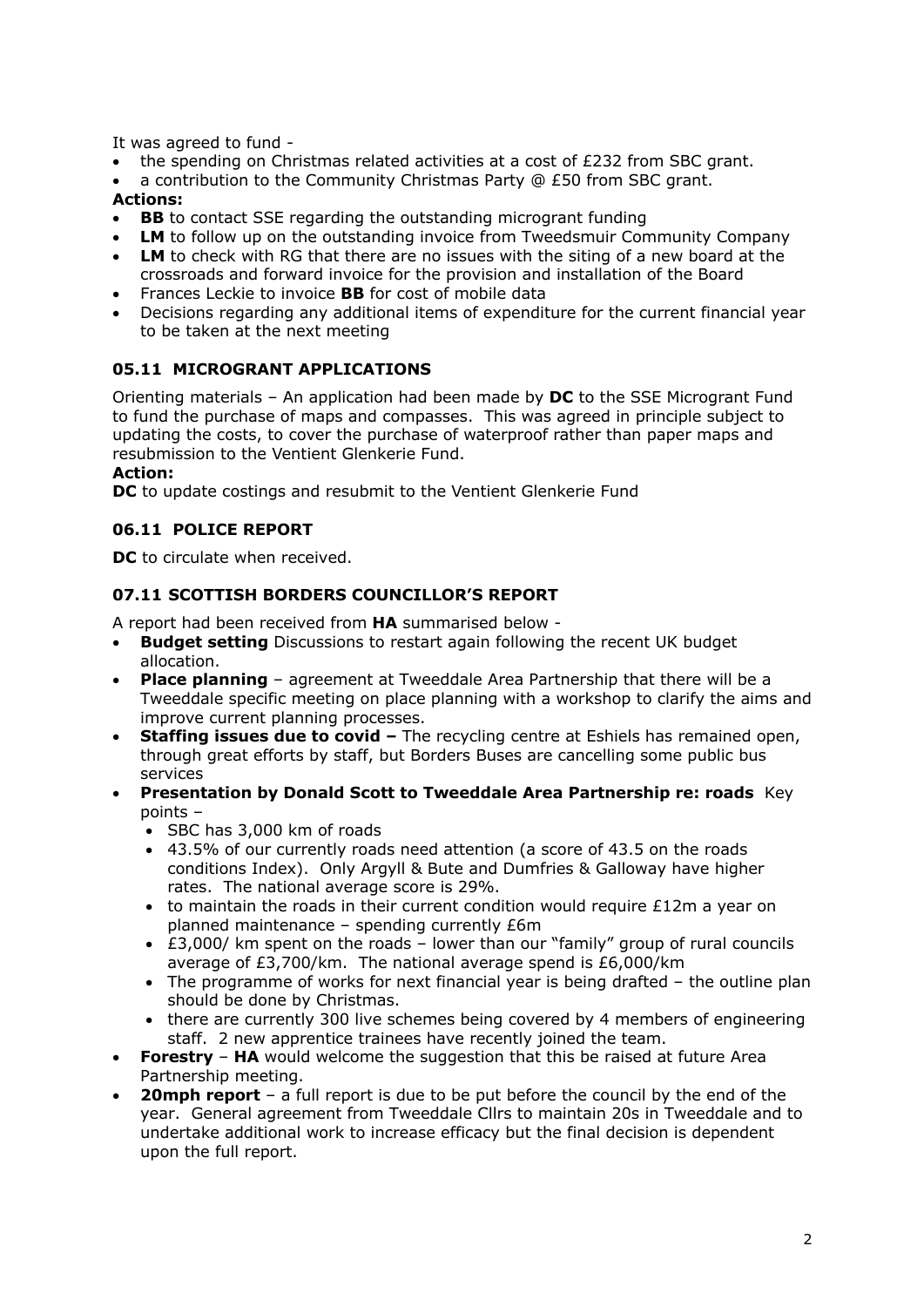It was agreed to fund -

- the spending on Christmas related activities at a cost of £232 from SBC grant.
- a contribution to the Community Christmas Party @ £50 from SBC grant. **Actions:**
- **BB** to contact SSE regarding the outstanding microgrant funding
- **LM** to follow up on the outstanding invoice from Tweedsmuir Community Company
- **LM** to check with RG that there are no issues with the siting of a new board at the crossroads and forward invoice for the provision and installation of the Board
- Frances Leckie to invoice **BB** for cost of mobile data
- Decisions regarding any additional items of expenditure for the current financial year to be taken at the next meeting

# **05.11 MICROGRANT APPLICATIONS**

Orienting materials – An application had been made by **DC** to the SSE Microgrant Fund to fund the purchase of maps and compasses. This was agreed in principle subject to updating the costs, to cover the purchase of waterproof rather than paper maps and resubmission to the Ventient Glenkerie Fund.

**Action:**

**DC** to update costings and resubmit to the Ventient Glenkerie Fund

#### **06.11 POLICE REPORT**

**DC** to circulate when received.

#### **07.11 SCOTTISH BORDERS COUNCILLOR'S REPORT**

A report had been received from **HA** summarised below -

- **Budget setting** Discussions to restart again following the recent UK budget allocation.
- **Place planning** agreement at Tweeddale Area Partnership that there will be a Tweeddale specific meeting on place planning with a workshop to clarify the aims and improve current planning processes.
- **Staffing issues due to covid –** The recycling centre at Eshiels has remained open, through great efforts by staff, but Borders Buses are cancelling some public bus services
- **Presentation by Donald Scott to Tweeddale Area Partnership re: roads** Key points –
	- SBC has 3,000 km of roads
	- 43.5% of our currently roads need attention (a score of 43.5 on the roads conditions Index). Only Argyll & Bute and Dumfries & Galloway have higher rates. The national average score is 29%.
	- to maintain the roads in their current condition would require  $£12m$  a year on planned maintenance – spending currently £6m
	- £3,000/ km spent on the roads lower than our "family" group of rural councils average of  $f3.700/km$ . The national average spend is  $f6.000/km$
	- The programme of works for next financial year is being drafted the outline plan should be done by Christmas.
	- there are currently 300 live schemes being covered by 4 members of engineering staff. 2 new apprentice trainees have recently joined the team.
- **Forestry HA** would welcome the suggestion that this be raised at future Area Partnership meeting.
- **20mph report** a full report is due to be put before the council by the end of the year. General agreement from Tweeddale Cllrs to maintain 20s in Tweeddale and to undertake additional work to increase efficacy but the final decision is dependent upon the full report.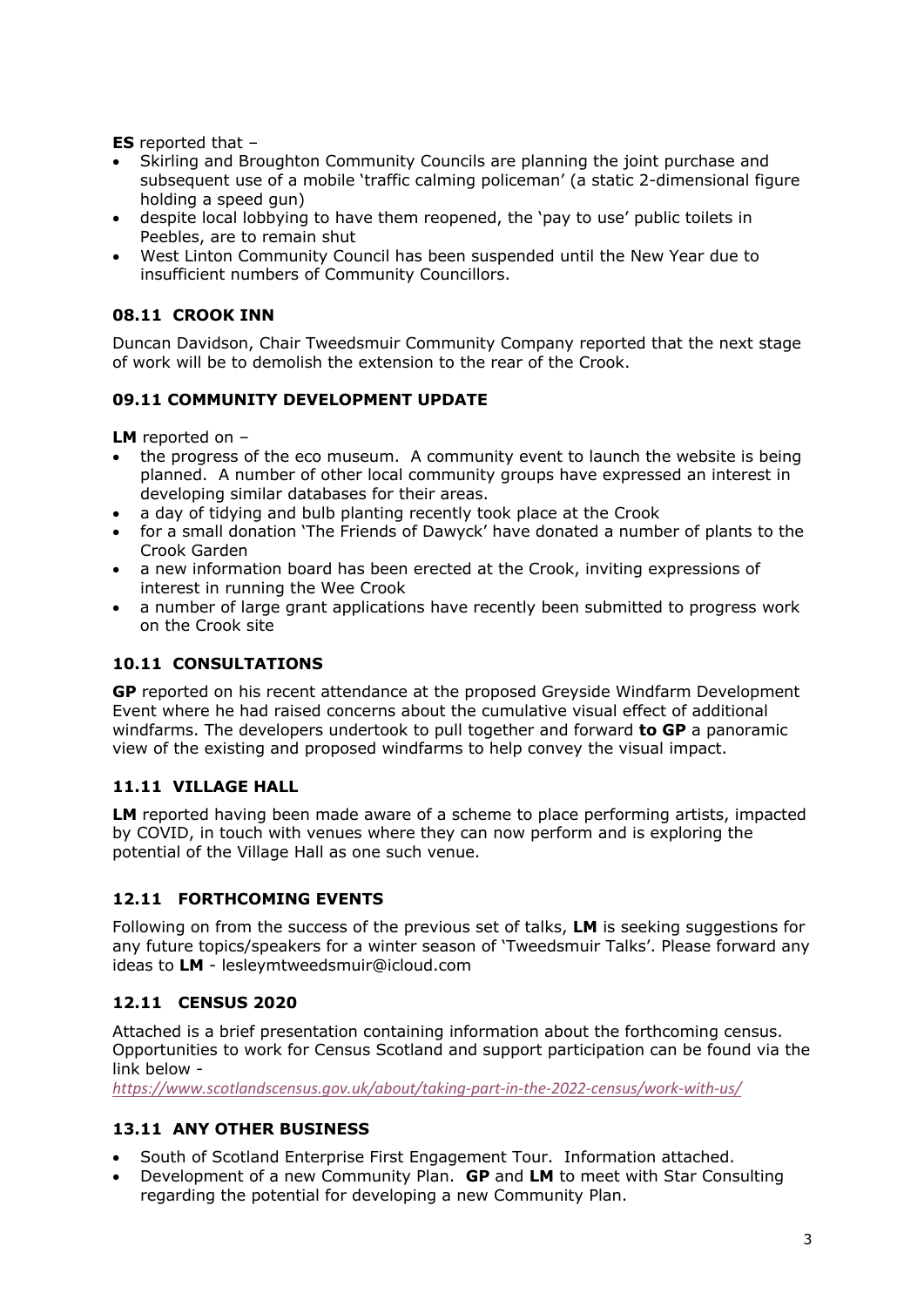**ES** reported that –

- Skirling and Broughton Community Councils are planning the joint purchase and subsequent use of a mobile 'traffic calming policeman' (a static 2-dimensional figure holding a speed gun)
- despite local lobbying to have them reopened, the 'pay to use' public toilets in Peebles, are to remain shut
- West Linton Community Council has been suspended until the New Year due to insufficient numbers of Community Councillors.

# **08.11 CROOK INN**

Duncan Davidson, Chair Tweedsmuir Community Company reported that the next stage of work will be to demolish the extension to the rear of the Crook.

# **09.11 COMMUNITY DEVELOPMENT UPDATE**

**LM** reported on –

- the progress of the eco museum. A community event to launch the website is being planned. A number of other local community groups have expressed an interest in developing similar databases for their areas.
- a day of tidying and bulb planting recently took place at the Crook
- for a small donation 'The Friends of Dawyck' have donated a number of plants to the Crook Garden
- a new information board has been erected at the Crook, inviting expressions of interest in running the Wee Crook
- a number of large grant applications have recently been submitted to progress work on the Crook site

# **10.11 CONSULTATIONS**

**GP** reported on his recent attendance at the proposed Greyside Windfarm Development Event where he had raised concerns about the cumulative visual effect of additional windfarms. The developers undertook to pull together and forward **to GP** a panoramic view of the existing and proposed windfarms to help convey the visual impact.

# **11.11 VILLAGE HALL**

**LM** reported having been made aware of a scheme to place performing artists, impacted by COVID, in touch with venues where they can now perform and is exploring the potential of the Village Hall as one such venue.

# **12.11 FORTHCOMING EVENTS**

Following on from the success of the previous set of talks, **LM** is seeking suggestions for any future topics/speakers for a winter season of 'Tweedsmuir Talks'. Please forward any ideas to **LM** - lesleymtweedsmuir@icloud.com

# **12.11 CENSUS 2020**

Attached is a brief presentation containing information about the forthcoming census. Opportunities to work for Census Scotland and support participation can be found via the link below -

*https://www.scotlandscensus.gov.uk/about/taking-part-in-the-2022-census/work-with-us/*

# **13.11 ANY OTHER BUSINESS**

- South of Scotland Enterprise First Engagement Tour. Information attached.
- Development of a new Community Plan. **GP** and **LM** to meet with Star Consulting regarding the potential for developing a new Community Plan.